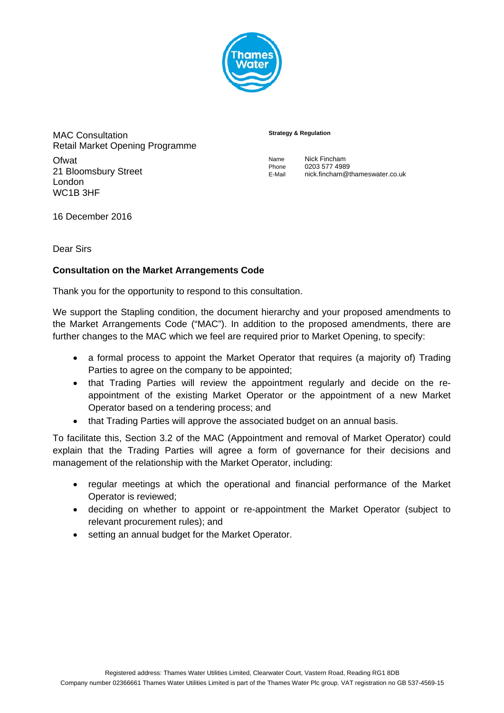

MAC Consultation Retail Market Opening Programme **Ofwat** 21 Bloomsbury Street London WC1B 3HF

## **Strategy & Regulation**

| Name   | Nick Fincham                   |
|--------|--------------------------------|
| Phone  | 0203 577 4989                  |
| E-Mail | nick.fincham@thameswater.co.uk |

16 December 2016

Dear Sirs

## **Consultation on the Market Arrangements Code**

Thank you for the opportunity to respond to this consultation.

We support the Stapling condition, the document hierarchy and your proposed amendments to the Market Arrangements Code ("MAC"). In addition to the proposed amendments, there are further changes to the MAC which we feel are required prior to Market Opening, to specify:

- a formal process to appoint the Market Operator that requires (a majority of) Trading Parties to agree on the company to be appointed:
- that Trading Parties will review the appointment regularly and decide on the reappointment of the existing Market Operator or the appointment of a new Market Operator based on a tendering process; and
- that Trading Parties will approve the associated budget on an annual basis.

To facilitate this, Section 3.2 of the MAC (Appointment and removal of Market Operator) could explain that the Trading Parties will agree a form of governance for their decisions and management of the relationship with the Market Operator, including:

- regular meetings at which the operational and financial performance of the Market Operator is reviewed;
- deciding on whether to appoint or re-appointment the Market Operator (subject to relevant procurement rules); and
- setting an annual budget for the Market Operator.